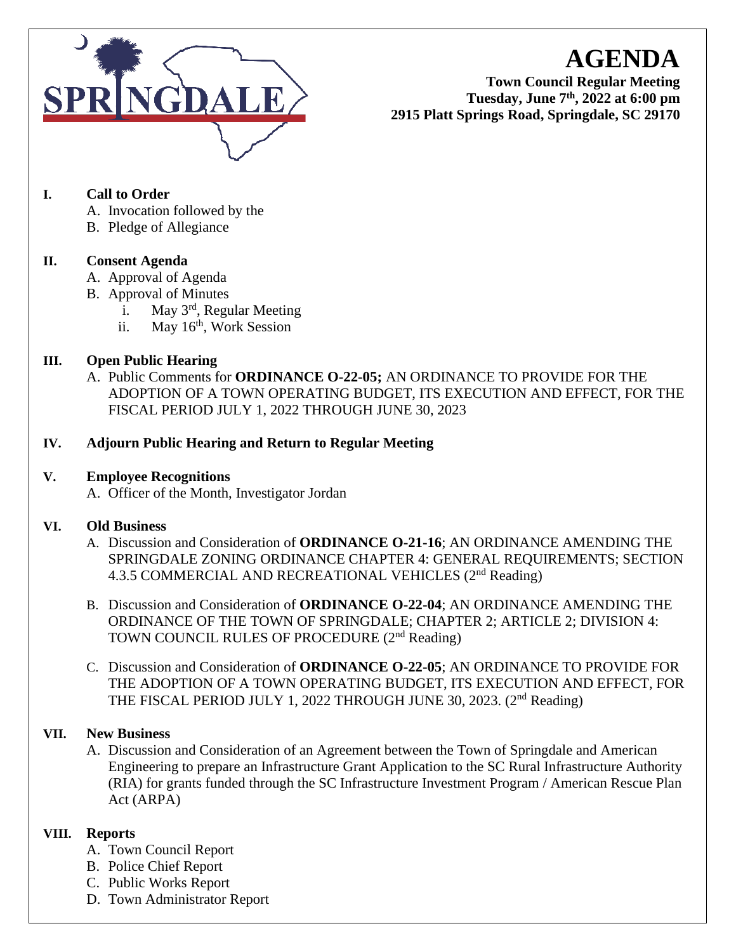

**AGENDA**

**Town Council Regular Meeting Tuesday, June 7th , 2022 at 6:00 pm 2915 Platt Springs Road, Springdale, SC 29170**

# **I. Call to Order**

- A. Invocation followed by the
- B. Pledge of Allegiance

# **II. Consent Agenda**

- A. Approval of Agenda
- B. Approval of Minutes
	- i. May 3rd, Regular Meeting
	- ii. May 16<sup>th</sup>, Work Session

# **III. Open Public Hearing**

A. Public Comments for **ORDINANCE O-22-05;** AN ORDINANCE TO PROVIDE FOR THE ADOPTION OF A TOWN OPERATING BUDGET, ITS EXECUTION AND EFFECT, FOR THE FISCAL PERIOD JULY 1, 2022 THROUGH JUNE 30, 2023

# **IV. Adjourn Public Hearing and Return to Regular Meeting**

### **V. Employee Recognitions**

A. Officer of the Month, Investigator Jordan

### **VI. Old Business**

- A. Discussion and Consideration of **ORDINANCE O-21-16**; AN ORDINANCE AMENDING THE SPRINGDALE ZONING ORDINANCE CHAPTER 4: GENERAL REQUIREMENTS; SECTION 4.3.5 COMMERCIAL AND RECREATIONAL VEHICLES (2<sup>nd</sup> Reading)
- B. Discussion and Consideration of **ORDINANCE O-22-04**; AN ORDINANCE AMENDING THE ORDINANCE OF THE TOWN OF SPRINGDALE; CHAPTER 2; ARTICLE 2; DIVISION 4: TOWN COUNCIL RULES OF PROCEDURE (2<sup>nd</sup> Reading)
- C. Discussion and Consideration of **ORDINANCE O-22-05**; AN ORDINANCE TO PROVIDE FOR THE ADOPTION OF A TOWN OPERATING BUDGET, ITS EXECUTION AND EFFECT, FOR THE FISCAL PERIOD JULY 1, 2022 THROUGH JUNE 30, 2023. (2<sup>nd</sup> Reading)

# **VII. New Business**

A. Discussion and Consideration of an Agreement between the Town of Springdale and American Engineering to prepare an Infrastructure Grant Application to the SC Rural Infrastructure Authority (RIA) for grants funded through the SC Infrastructure Investment Program / American Rescue Plan Act (ARPA)

# **VIII. Reports**

- A. Town Council Report
- B. Police Chief Report
- C. Public Works Report
- D. Town Administrator Report